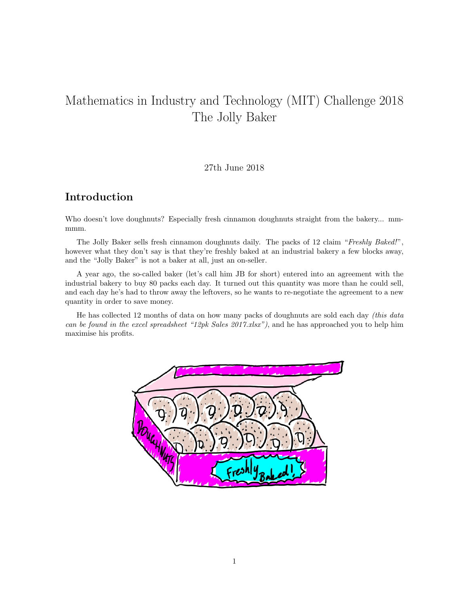# Mathematics in Industry and Technology (MIT) Challenge 2018 The Jolly Baker

#### 27th June 2018

## Introduction

Who doesn't love doughnuts? Especially fresh cinnamon doughnuts straight from the bakery... mmmmm.

The Jolly Baker sells fresh cinnamon doughnuts daily. The packs of 12 claim "Freshly Baked!", however what they don't say is that they're freshly baked at an industrial bakery a few blocks away, and the "Jolly Baker" is not a baker at all, just an on-seller.

A year ago, the so-called baker (let's call him JB for short) entered into an agreement with the industrial bakery to buy 80 packs each day. It turned out this quantity was more than he could sell, and each day he's had to throw away the leftovers, so he wants to re-negotiate the agreement to a new quantity in order to save money.

He has collected 12 months of data on how many packs of doughnuts are sold each day (this data can be found in the excel spreadsheet "12pk Sales  $2017.x$ lsx"), and he has approached you to help him maximise his profits.